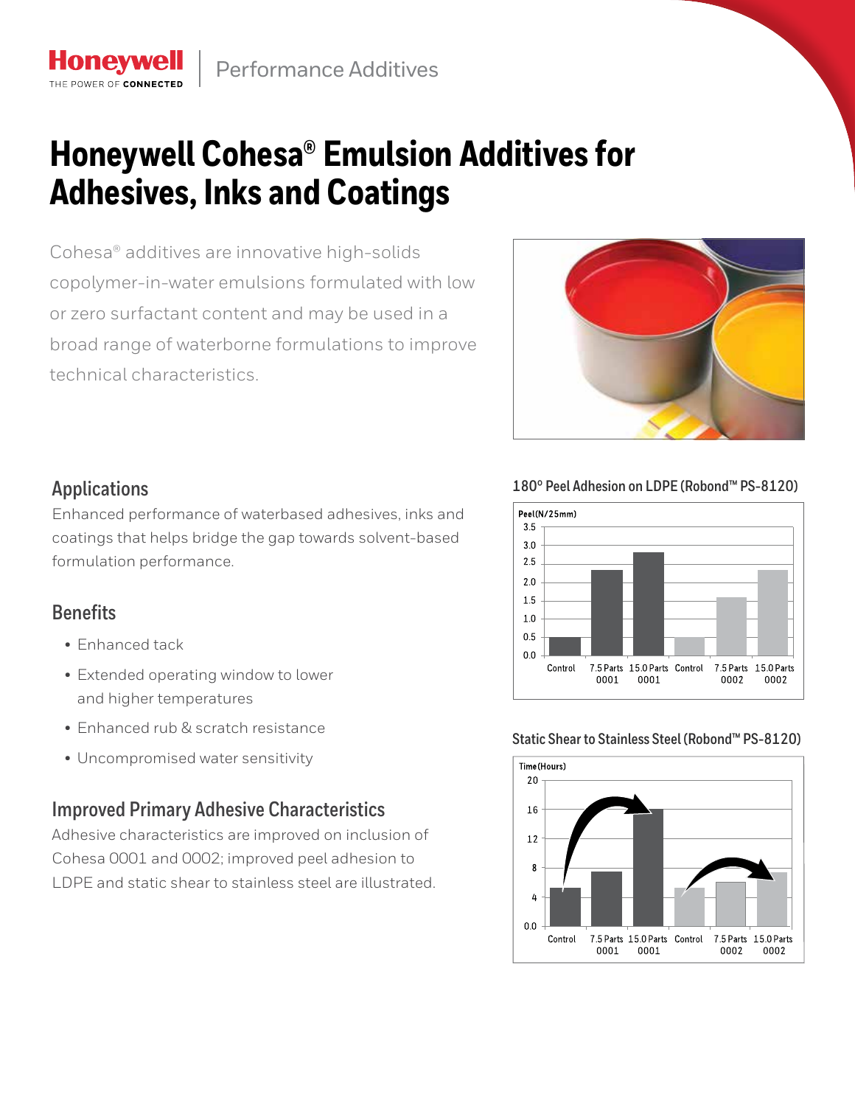# **Honeywell Cohesa® Emulsion Additives for Adhesives, Inks and Coatings**

Cohesa® additives are innovative high-solids copolymer-in-water emulsions formulated with low or zero surfactant content and may be used in a broad range of waterborne formulations to improve technical characteristics.



# **Applications**

Honeywe THE DOWED OF CONNECT

Enhanced performance of waterbased adhesives, inks and coatings that helps bridge the gap towards solvent-based formulation performance.

## **Benefits**

- Enhanced tack
- Extended operating window to lower and higher temperatures
- Enhanced rub & scratch resistance
- Uncompromised water sensitivity

# **Improved Primary Adhesive Characteristics**

Adhesive characteristics are improved on inclusion of Cohesa 0001 and 0002; improved peel adhesion to LDPE and static shear to stainless steel are illustrated.

**180° Peel Adhesion on LDPE (Robond™ PS-8120)**



### **Static Shear to Stainless Steel (Robond™ PS-8120)**